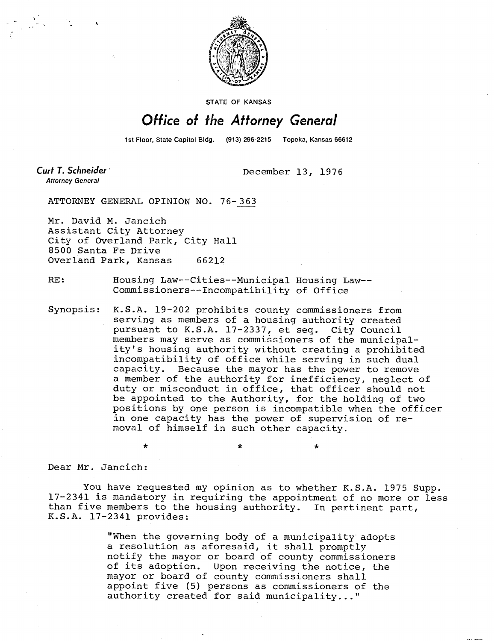

STATE OF KANSAS

## **Office of the Attorney General**

1st Floor, State Capitol Bldg. (913) 296-2215 Topeka, Kansas 66612

Curt T. Schneider **Attorney General** 

December 13, 1976

ATTORNEY GENERAL OPINION NO. 76-363

Mr. David M. Jancich Assistant City Attorney City of Overland Park, City Hall 8500 Santa Fe Drive Overland Park, Kansas 66212

÷

RE: Housing Law--Cities--Municipal Housing Law-- Commissioners--Incompatibility of Office

Synopsis: K.S.A. 19-202 prohibits county commissioners from serving as members of a housing authority created pursuant to K.S.A. 17-2337, et seq. City Council members may serve as commissioners of the municipality's housing authority without creating a prohibited incompatibility of office while serving in such dual capacity. Because the mayor has the power to remove a member of the authority for inefficiency, neglect of duty or misconduct in office, that officer should not be appointed to the Authority, for the holding of two positions by one person is incompatible when the officer in one capacity has the power of supervision of removal of himself in such other capacity.

Dear Mr. Jancich:

You have requested my opinion as to whether K.S.A. 1975 Supp. 17-2341 is mandatory in requiring the appointment of no more or less than five members to the housing authority. In pertinent part, K.S.A. 17-2341 provides:

> "When the governing body of a municipality adopts a resolution as aforesaid, it shall promptly notify the mayor or board of county commissioners of its adoption. Upon receiving the notice, the mayor or board of county commissioners shall appoint five (5) persons as commissioners of the authority created for said municipality..."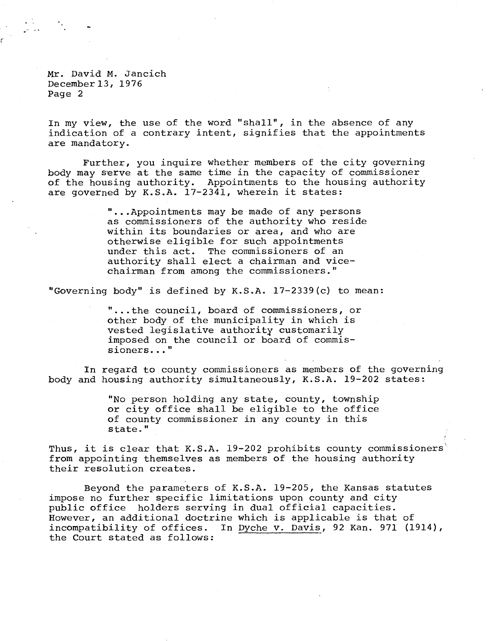Mr. David M. Jancich December 13, 1976 Page 2

In my view, the use of the word "shall", in the absence of any indication of a contrary intent, signifies that the appointments are mandatory.

Further, you inquire whether members of the city governing body may serve at the same time in the capacity of commissioner of the housing authority. Appointments to the housing authority are governed by K.S.A. 17-2341, wherein it states:

> "...Appointments may be made of any persons as commissioners of the authority who reside within its boundaries or area, and who are otherwise eligible for such appointments under this act. The commissioners of an authority shall elect a chairman and vicechairman from among the commissioners."

"Governing body" is defined by K.S.A. 17-2339(c) to mean:

...the council, board of commissioners, or other body of the municipality in which is vested legislative authority customarily imposed on the council or board of commissioners..."

In regard to county commissioners as members of the governing body and housing authority simultaneously, K.S.A. 19-202 states:

> "No person holding any state, county, township or city office shall be eligible to the office of county commissioner in any county in this state."

Thus, it is clear that K.S.A. 19-202 prohibits county commissioners from appointing themselves as members of the housing authority their resolution creates.

Beyond the parameters of K.S.A. 19-205, the Kansas statutes impose no further specific limitations upon county and city public office holders serving in dual official capacities. However, an additional doctrine which is applicable is that of incompatibility of offices. In Dyche v. Davis, 92 Kan. 971 (1914), the Court stated as follows: